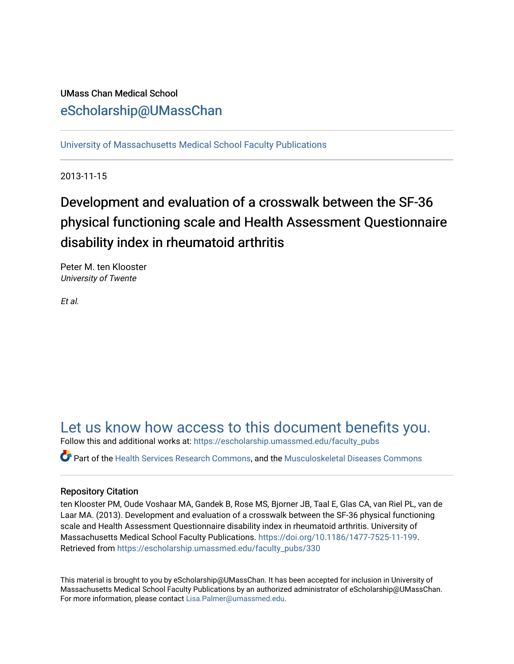# UMass Chan Medical School [eScholarship@UMassChan](https://escholarship.umassmed.edu/)

[University of Massachusetts Medical School Faculty Publications](https://escholarship.umassmed.edu/faculty_pubs)

2013-11-15

# Development and evaluation of a crosswalk between the SF-36 physical functioning scale and Health Assessment Questionnaire disability index in rheumatoid arthritis

Peter M. ten Klooster University of Twente

Et al.

# [Let us know how access to this document benefits you.](https://arcsapps.umassmed.edu/redcap/surveys/?s=XWRHNF9EJE)

Follow this and additional works at: [https://escholarship.umassmed.edu/faculty\\_pubs](https://escholarship.umassmed.edu/faculty_pubs?utm_source=escholarship.umassmed.edu%2Ffaculty_pubs%2F330&utm_medium=PDF&utm_campaign=PDFCoverPages) 

Part of the [Health Services Research Commons,](http://network.bepress.com/hgg/discipline/816?utm_source=escholarship.umassmed.edu%2Ffaculty_pubs%2F330&utm_medium=PDF&utm_campaign=PDFCoverPages) and the [Musculoskeletal Diseases Commons](http://network.bepress.com/hgg/discipline/996?utm_source=escholarship.umassmed.edu%2Ffaculty_pubs%2F330&utm_medium=PDF&utm_campaign=PDFCoverPages)

# Repository Citation

ten Klooster PM, Oude Voshaar MA, Gandek B, Rose MS, Bjorner JB, Taal E, Glas CA, van Riel PL, van de Laar MA. (2013). Development and evaluation of a crosswalk between the SF-36 physical functioning scale and Health Assessment Questionnaire disability index in rheumatoid arthritis. University of Massachusetts Medical School Faculty Publications. <https://doi.org/10.1186/1477-7525-11-199>. Retrieved from [https://escholarship.umassmed.edu/faculty\\_pubs/330](https://escholarship.umassmed.edu/faculty_pubs/330?utm_source=escholarship.umassmed.edu%2Ffaculty_pubs%2F330&utm_medium=PDF&utm_campaign=PDFCoverPages) 

This material is brought to you by eScholarship@UMassChan. It has been accepted for inclusion in University of Massachusetts Medical School Faculty Publications by an authorized administrator of eScholarship@UMassChan. For more information, please contact [Lisa.Palmer@umassmed.edu](mailto:Lisa.Palmer@umassmed.edu).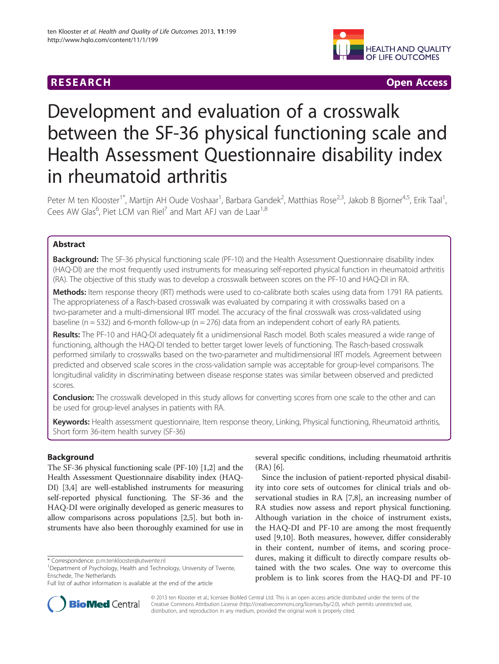# **RESEARCH CHINESE ARCH CHINESE ARCH CHINESE ARCH <b>CHINESE ARCH CHINESE ARCH CHINESE ARCH <b>CHINESE** ARCH **CHINESE ARCH** CHINESE ARCH **CHINESE ARCH 2014**



# Development and evaluation of a crosswalk between the SF-36 physical functioning scale and Health Assessment Questionnaire disability index in rheumatoid arthritis

Peter M ten Klooster<sup>1\*</sup>, Martijn AH Oude Voshaar<sup>1</sup>, Barbara Gandek<sup>2</sup>, Matthias Rose<sup>2,3</sup>, Jakob B Bjorner<sup>4,5</sup>, Erik Taal<sup>1</sup> , Cees AW Glas<sup>6</sup>, Piet LCM van Riel<sup>7</sup> and Mart AFJ van de Laar<sup>1,8</sup>

# **Abstract**

Background: The SF-36 physical functioning scale (PF-10) and the Health Assessment Questionnaire disability index (HAQ-DI) are the most frequently used instruments for measuring self-reported physical function in rheumatoid arthritis (RA). The objective of this study was to develop a crosswalk between scores on the PF-10 and HAQ-DI in RA.

Methods: Item response theory (IRT) methods were used to co-calibrate both scales using data from 1791 RA patients. The appropriateness of a Rasch-based crosswalk was evaluated by comparing it with crosswalks based on a two-parameter and a multi-dimensional IRT model. The accuracy of the final crosswalk was cross-validated using baseline ( $n = 532$ ) and 6-month follow-up ( $n = 276$ ) data from an independent cohort of early RA patients.

Results: The PF-10 and HAQ-DI adequately fit a unidimensional Rasch model. Both scales measured a wide range of functioning, although the HAQ-DI tended to better target lower levels of functioning. The Rasch-based crosswalk performed similarly to crosswalks based on the two-parameter and multidimensional IRT models. Agreement between predicted and observed scale scores in the cross-validation sample was acceptable for group-level comparisons. The longitudinal validity in discriminating between disease response states was similar between observed and predicted scores.

**Conclusion:** The crosswalk developed in this study allows for converting scores from one scale to the other and can be used for group-level analyses in patients with RA.

Keywords: Health assessment questionnaire, Item response theory, Linking, Physical functioning, Rheumatoid arthritis, Short form 36-item health survey (SF-36)

# Background

The SF-36 physical functioning scale (PF-10) [[1,2](#page-9-0)] and the Health Assessment Questionnaire disability index (HAQ-DI) [\[3,4](#page-9-0)] are well-established instruments for measuring self-reported physical functioning. The SF-36 and the HAQ-DI were originally developed as generic measures to allow comparisons across populations [[2,5](#page-9-0)]. but both instruments have also been thoroughly examined for use in

several specific conditions, including rheumatoid arthritis (RA) [[6](#page-9-0)].

Since the inclusion of patient-reported physical disability into core sets of outcomes for clinical trials and observational studies in RA [[7,](#page-9-0)[8\]](#page-10-0), an increasing number of RA studies now assess and report physical functioning. Although variation in the choice of instrument exists, the HAQ-DI and PF-10 are among the most frequently used [\[9,10](#page-10-0)]. Both measures, however, differ considerably in their content, number of items, and scoring procedures, making it difficult to directly compare results obtained with the two scales. One way to overcome this problem is to link scores from the HAQ-DI and PF-10



© 2013 ten Klooster et al.; licensee BioMed Central Ltd. This is an open access article distributed under the terms of the Creative Commons Attribution License (<http://creativecommons.org/licenses/by/2.0>), which permits unrestricted use, distribution, and reproduction in any medium, provided the original work is properly cited.

<sup>\*</sup> Correspondence: [p.m.tenklooster@utwente.nl](mailto:p.m.tenklooster@utwente.nl) <sup>1</sup>

<sup>&</sup>lt;sup>1</sup>Department of Psychology, Health and Technology, University of Twente, Enschede, The Netherlands

Full list of author information is available at the end of the article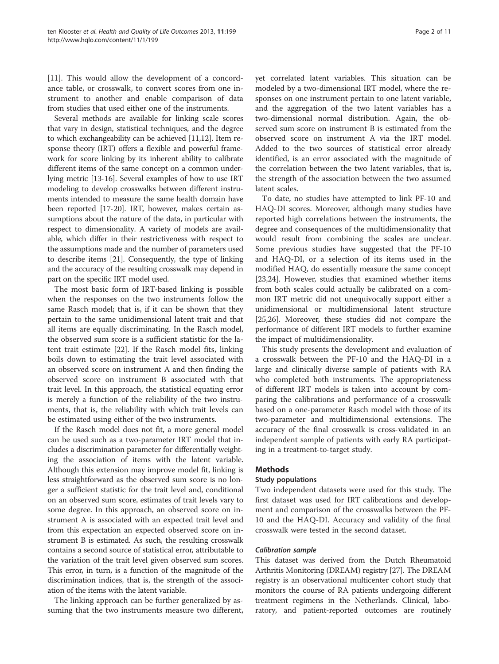[[11\]](#page-10-0). This would allow the development of a concordance table, or crosswalk, to convert scores from one instrument to another and enable comparison of data from studies that used either one of the instruments.

Several methods are available for linking scale scores that vary in design, statistical techniques, and the degree to which exchangeability can be achieved [\[11,12](#page-10-0)]. Item response theory (IRT) offers a flexible and powerful framework for score linking by its inherent ability to calibrate different items of the same concept on a common underlying metric [[13](#page-10-0)-[16](#page-10-0)]. Several examples of how to use IRT modeling to develop crosswalks between different instruments intended to measure the same health domain have been reported [[17](#page-10-0)-[20](#page-10-0)]. IRT, however, makes certain assumptions about the nature of the data, in particular with respect to dimensionality. A variety of models are available, which differ in their restrictiveness with respect to the assumptions made and the number of parameters used to describe items [\[21\]](#page-10-0). Consequently, the type of linking and the accuracy of the resulting crosswalk may depend in part on the specific IRT model used.

The most basic form of IRT-based linking is possible when the responses on the two instruments follow the same Rasch model; that is, if it can be shown that they pertain to the same unidimensional latent trait and that all items are equally discriminating. In the Rasch model, the observed sum score is a sufficient statistic for the latent trait estimate [\[22](#page-10-0)]. If the Rasch model fits, linking boils down to estimating the trait level associated with an observed score on instrument A and then finding the observed score on instrument B associated with that trait level. In this approach, the statistical equating error is merely a function of the reliability of the two instruments, that is, the reliability with which trait levels can be estimated using either of the two instruments.

If the Rasch model does not fit, a more general model can be used such as a two-parameter IRT model that includes a discrimination parameter for differentially weighting the association of items with the latent variable. Although this extension may improve model fit, linking is less straightforward as the observed sum score is no longer a sufficient statistic for the trait level and, conditional on an observed sum score, estimates of trait levels vary to some degree. In this approach, an observed score on instrument A is associated with an expected trait level and from this expectation an expected observed score on instrument B is estimated. As such, the resulting crosswalk contains a second source of statistical error, attributable to the variation of the trait level given observed sum scores. This error, in turn, is a function of the magnitude of the discrimination indices, that is, the strength of the association of the items with the latent variable.

The linking approach can be further generalized by assuming that the two instruments measure two different, yet correlated latent variables. This situation can be modeled by a two-dimensional IRT model, where the responses on one instrument pertain to one latent variable, and the aggregation of the two latent variables has a two-dimensional normal distribution. Again, the observed sum score on instrument B is estimated from the observed score on instrument A via the IRT model. Added to the two sources of statistical error already identified, is an error associated with the magnitude of the correlation between the two latent variables, that is, the strength of the association between the two assumed latent scales.

To date, no studies have attempted to link PF-10 and HAQ-DI scores. Moreover, although many studies have reported high correlations between the instruments, the degree and consequences of the multidimensionality that would result from combining the scales are unclear. Some previous studies have suggested that the PF-10 and HAQ-DI, or a selection of its items used in the modified HAQ, do essentially measure the same concept [[23,24\]](#page-10-0). However, studies that examined whether items from both scales could actually be calibrated on a common IRT metric did not unequivocally support either a unidimensional or multidimensional latent structure [[25,26\]](#page-10-0). Moreover, these studies did not compare the performance of different IRT models to further examine the impact of multidimensionality.

This study presents the development and evaluation of a crosswalk between the PF-10 and the HAQ-DI in a large and clinically diverse sample of patients with RA who completed both instruments. The appropriateness of different IRT models is taken into account by comparing the calibrations and performance of a crosswalk based on a one-parameter Rasch model with those of its two-parameter and multidimensional extensions. The accuracy of the final crosswalk is cross-validated in an independent sample of patients with early RA participating in a treatment-to-target study.

#### Methods

#### Study populations

Two independent datasets were used for this study. The first dataset was used for IRT calibrations and development and comparison of the crosswalks between the PF-10 and the HAQ-DI. Accuracy and validity of the final crosswalk were tested in the second dataset.

#### Calibration sample

This dataset was derived from the Dutch Rheumatoid Arthritis Monitoring (DREAM) registry [\[27\]](#page-10-0). The DREAM registry is an observational multicenter cohort study that monitors the course of RA patients undergoing different treatment regimens in the Netherlands. Clinical, laboratory, and patient-reported outcomes are routinely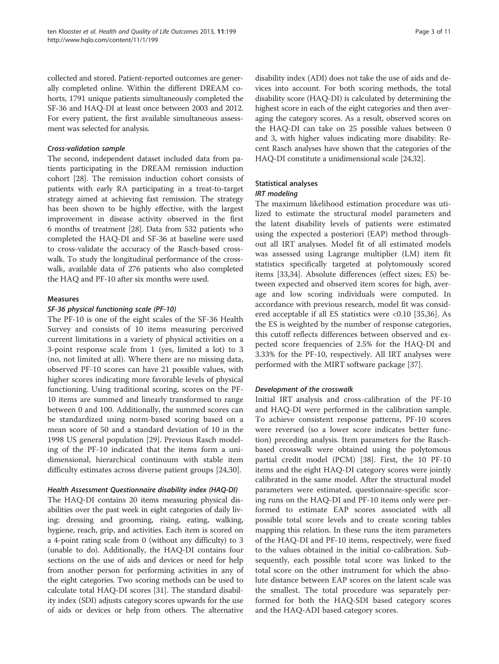collected and stored. Patient-reported outcomes are generally completed online. Within the different DREAM cohorts, 1791 unique patients simultaneously completed the SF-36 and HAQ-DI at least once between 2003 and 2012. For every patient, the first available simultaneous assessment was selected for analysis.

#### Cross-validation sample

The second, independent dataset included data from patients participating in the DREAM remission induction cohort [\[28](#page-10-0)]. The remission induction cohort consists of patients with early RA participating in a treat-to-target strategy aimed at achieving fast remission. The strategy has been shown to be highly effective, with the largest improvement in disease activity observed in the first 6 months of treatment [\[28](#page-10-0)]. Data from 532 patients who completed the HAQ-DI and SF-36 at baseline were used to cross-validate the accuracy of the Rasch-based crosswalk. To study the longitudinal performance of the crosswalk, available data of 276 patients who also completed the HAQ and PF-10 after six months were used.

#### Measures

#### SF-36 physical functioning scale (PF-10)

The PF-10 is one of the eight scales of the SF-36 Health Survey and consists of 10 items measuring perceived current limitations in a variety of physical activities on a 3-point response scale from 1 (yes, limited a lot) to 3 (no, not limited at all). Where there are no missing data, observed PF-10 scores can have 21 possible values, with higher scores indicating more favorable levels of physical functioning. Using traditional scoring, scores on the PF-10 items are summed and linearly transformed to range between 0 and 100. Additionally, the summed scores can be standardized using norm-based scoring based on a mean score of 50 and a standard deviation of 10 in the 1998 US general population [[29\]](#page-10-0). Previous Rasch modeling of the PF-10 indicated that the items form a unidimensional, hierarchical continuum with stable item difficulty estimates across diverse patient groups [\[24,30\]](#page-10-0).

## Health Assessment Questionnaire disability index (HAQ-DI)

The HAQ-DI contains 20 items measuring physical disabilities over the past week in eight categories of daily living: dressing and grooming, rising, eating, walking, hygiene, reach, grip, and activities. Each item is scored on a 4-point rating scale from 0 (without any difficulty) to 3 (unable to do). Additionally, the HAQ-DI contains four sections on the use of aids and devices or need for help from another person for performing activities in any of the eight categories. Two scoring methods can be used to calculate total HAQ-DI scores [\[31\]](#page-10-0). The standard disability index (SDI) adjusts category scores upwards for the use of aids or devices or help from others. The alternative

disability index (ADI) does not take the use of aids and devices into account. For both scoring methods, the total disability score (HAQ-DI) is calculated by determining the highest score in each of the eight categories and then averaging the category scores. As a result, observed scores on the HAQ-DI can take on 25 possible values between 0 and 3, with higher values indicating more disability. Recent Rasch analyses have shown that the categories of the HAQ-DI constitute a unidimensional scale [\[24,32](#page-10-0)].

## Statistical analyses

#### IRT modeling

The maximum likelihood estimation procedure was utilized to estimate the structural model parameters and the latent disability levels of patients were estimated using the expected a posteriori (EAP) method throughout all IRT analyses. Model fit of all estimated models was assessed using Lagrange multiplier (LM) item fit statistics specifically targeted at polytomously scored items [[33,34\]](#page-10-0). Absolute differences (effect sizes; ES) between expected and observed item scores for high, average and low scoring individuals were computed. In accordance with previous research, model fit was considered acceptable if all ES statistics were <0.10 [\[35,36](#page-10-0)]. As the ES is weighted by the number of response categories, this cutoff reflects differences between observed and expected score frequencies of 2.5% for the HAQ-DI and 3.33% for the PF-10, respectively. All IRT analyses were performed with the MIRT software package [[37](#page-10-0)].

## Development of the crosswalk

Initial IRT analysis and cross-calibration of the PF-10 and HAQ-DI were performed in the calibration sample. To achieve consistent response patterns, PF-10 scores were reversed (so a lower score indicates better function) preceding analysis. Item parameters for the Raschbased crosswalk were obtained using the polytomous partial credit model (PCM) [\[38](#page-10-0)]. First, the 10 PF-10 items and the eight HAQ-DI category scores were jointly calibrated in the same model. After the structural model parameters were estimated, questionnaire-specific scoring runs on the HAQ-DI and PF-10 items only were performed to estimate EAP scores associated with all possible total score levels and to create scoring tables mapping this relation. In these runs the item parameters of the HAQ-DI and PF-10 items, respectively, were fixed to the values obtained in the initial co-calibration. Subsequently, each possible total score was linked to the total score on the other instrument for which the absolute distance between EAP scores on the latent scale was the smallest. The total procedure was separately performed for both the HAQ-SDI based category scores and the HAQ-ADI based category scores.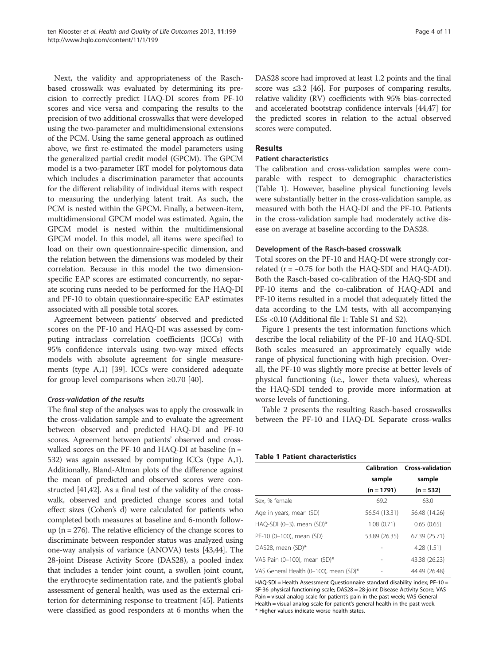Next, the validity and appropriateness of the Raschbased crosswalk was evaluated by determining its precision to correctly predict HAQ-DI scores from PF-10 scores and vice versa and comparing the results to the precision of two additional crosswalks that were developed using the two-parameter and multidimensional extensions of the PCM. Using the same general approach as outlined above, we first re-estimated the model parameters using the generalized partial credit model (GPCM). The GPCM model is a two-parameter IRT model for polytomous data which includes a discrimination parameter that accounts for the different reliability of individual items with respect to measuring the underlying latent trait. As such, the PCM is nested within the GPCM. Finally, a between-item, multidimensional GPCM model was estimated. Again, the GPCM model is nested within the multidimensional GPCM model. In this model, all items were specified to load on their own questionnaire-specific dimension, and the relation between the dimensions was modeled by their correlation. Because in this model the two dimensionspecific EAP scores are estimated concurrently, no separate scoring runs needed to be performed for the HAQ-DI and PF-10 to obtain questionnaire-specific EAP estimates associated with all possible total scores.

Agreement between patients' observed and predicted scores on the PF-10 and HAQ-DI was assessed by computing intraclass correlation coefficients (ICCs) with 95% confidence intervals using two-way mixed effects models with absolute agreement for single measurements (type A,1) [[39](#page-10-0)]. ICCs were considered adequate for group level comparisons when  $\geq 0.70$  [[40](#page-10-0)].

#### Cross-validation of the results

The final step of the analyses was to apply the crosswalk in the cross-validation sample and to evaluate the agreement between observed and predicted HAQ-DI and PF-10 scores. Agreement between patients' observed and crosswalked scores on the PF-10 and HAQ-DI at baseline  $(n =$ 532) was again assessed by computing ICCs (type A,1). Additionally, Bland-Altman plots of the difference against the mean of predicted and observed scores were constructed [[41,42](#page-10-0)]. As a final test of the validity of the crosswalk, observed and predicted change scores and total effect sizes (Cohen's d) were calculated for patients who completed both measures at baseline and 6-month followup ( $n = 276$ ). The relative efficiency of the change scores to discriminate between responder status was analyzed using one-way analysis of variance (ANOVA) tests [[43,44\]](#page-10-0). The 28-joint Disease Activity Score (DAS28), a pooled index that includes a tender joint count, a swollen joint count, the erythrocyte sedimentation rate, and the patient's global assessment of general health, was used as the external criterion for determining response to treatment [\[45](#page-10-0)]. Patients were classified as good responders at 6 months when the DAS28 score had improved at least 1.2 points and the final score was  $\leq 3.2$  [[46](#page-10-0)]. For purposes of comparing results, relative validity (RV) coefficients with 95% bias-corrected and accelerated bootstrap confidence intervals [\[44,47](#page-10-0)] for the predicted scores in relation to the actual observed scores were computed.

### Results

#### Patient characteristics

The calibration and cross-validation samples were comparable with respect to demographic characteristics (Table 1). However, baseline physical functioning levels were substantially better in the cross-validation sample, as measured with both the HAQ-DI and the PF-10. Patients in the cross-validation sample had moderately active disease on average at baseline according to the DAS28.

#### Development of the Rasch-based crosswalk

Total scores on the PF-10 and HAQ-DI were strongly correlated ( $r = -0.75$  for both the HAQ-SDI and HAQ-ADI). Both the Rasch-based co-calibration of the HAQ-SDI and PF-10 items and the co-calibration of HAQ-ADI and PF-10 items resulted in a model that adequately fitted the data according to the LM tests, with all accompanying ESs <0.10 (Additional file [1](#page-9-0): Table S1 and S2).

Figure [1](#page-5-0) presents the test information functions which describe the local reliability of the PF-10 and HAQ-SDI. Both scales measured an approximately equally wide range of physical functioning with high precision. Overall, the PF-10 was slightly more precise at better levels of physical functioning (i.e., lower theta values), whereas the HAQ-SDI tended to provide more information at worse levels of functioning.

Table [2](#page-5-0) presents the resulting Rasch-based crosswalks between the PF-10 and HAQ-DI. Separate cross-walks

#### Table 1 Patient characteristics

|                                        | Calibration   | <b>Cross-validation</b> |
|----------------------------------------|---------------|-------------------------|
|                                        | sample        | sample                  |
|                                        | $(n = 1791)$  | $(n = 532)$             |
| Sex, % female                          | 69.2          | 63.0                    |
| Age in years, mean (SD)                | 56.54 (13.31) | 56.48 (14.26)           |
| HAQ-SDI (0-3), mean (SD)*              | 1.08(0.71)    | 0.65(0.65)              |
| PF-10 (0-100), mean (SD)               | 53.89 (26.35) | 67.39 (25.71)           |
| DAS28, mean (SD)*                      |               | 4.28(1.51)              |
| VAS Pain (0-100), mean (SD)*           | -             | 43.38 (26.23)           |
| VAS General Health (0-100), mean (SD)* |               | 44.49 (26.48)           |

HAQ-SDI = Health Assessment Questionnaire standard disability index; PF-10 = SF-36 physical functioning scale; DAS28 = 28-joint Disease Activity Score; VAS Pain = visual analog scale for patient's pain in the past week; VAS General Health = visual analog scale for patient's general health in the past week. \* Higher values indicate worse health states.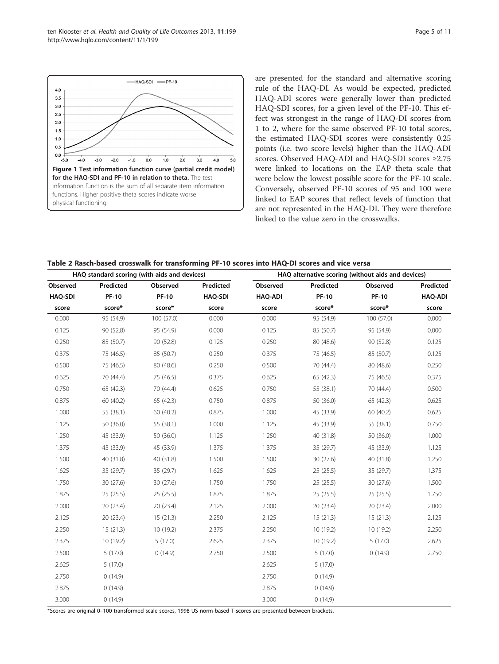\*Scores are original 0–100 transformed scale scores, 1998 US norm-based T-scores are presented between brackets.

are presented for the standard and alternative scoring rule of the HAQ-DI. As would be expected, predicted HAQ-ADI scores were generally lower than predicted HAQ-SDI scores, for a given level of the PF-10. This effect was strongest in the range of HAQ-DI scores from 1 to 2, where for the same observed PF-10 total scores, the estimated HAQ-SDI scores were consistently 0.25 points (i.e. two score levels) higher than the HAQ-ADI scores. Observed HAQ-ADI and HAQ-SDI scores ≥2.75 were linked to locations on the EAP theta scale that were below the lowest possible score for the PF-10 scale. Conversely, observed PF-10 scores of 95 and 100 were linked to EAP scores that reflect levels of function that are not represented in the HAQ-DI. They were therefore linked to the value zero in the crosswalks.

| Table 2 Rasch-based crosswalk for transforming PF-10 scores into HAQ-DI scores and vice versa |  |
|-----------------------------------------------------------------------------------------------|--|
|-----------------------------------------------------------------------------------------------|--|

| HAQ standard scoring (with aids and devices) |              |              | HAQ alternative scoring (without aids and devices) |                |              |              |                |
|----------------------------------------------|--------------|--------------|----------------------------------------------------|----------------|--------------|--------------|----------------|
| Observed                                     | Predicted    | Observed     | Predicted                                          | Observed       | Predicted    | Observed     | Predicted      |
| <b>HAQ-SDI</b>                               | <b>PF-10</b> | <b>PF-10</b> | <b>HAQ-SDI</b>                                     | <b>HAQ-ADI</b> | <b>PF-10</b> | <b>PF-10</b> | <b>HAQ-ADI</b> |
| score                                        | score*       | score*       | score                                              | score          | score*       | score*       | score          |
| 0.000                                        | 95 (54.9)    | 100 (57.0)   | 0.000                                              | 0.000          | 95 (54.9)    | 100 (57.0)   | 0.000          |
| 0.125                                        | 90 (52.8)    | 95 (54.9)    | 0.000                                              | 0.125          | 85 (50.7)    | 95 (54.9)    | 0.000          |
| 0.250                                        | 85 (50.7)    | 90 (52.8)    | 0.125                                              | 0.250          | 80 (48.6)    | 90 (52.8)    | 0.125          |
| 0.375                                        | 75 (46.5)    | 85 (50.7)    | 0.250                                              | 0.375          | 75 (46.5)    | 85 (50.7)    | 0.125          |
| 0.500                                        | 75 (46.5)    | 80 (48.6)    | 0.250                                              | 0.500          | 70 (44.4)    | 80 (48.6)    | 0.250          |
| 0.625                                        | 70 (44.4)    | 75 (46.5)    | 0.375                                              | 0.625          | 65 (42.3)    | 75 (46.5)    | 0.375          |
| 0.750                                        | 65 (42.3)    | 70 (44.4)    | 0.625                                              | 0.750          | 55 (38.1)    | 70 (44.4)    | 0.500          |
| 0.875                                        | 60 (40.2)    | 65 (42.3)    | 0.750                                              | 0.875          | 50 (36.0)    | 65 (42.3)    | 0.625          |
| 1.000                                        | 55 (38.1)    | 60 (40.2)    | 0.875                                              | 1.000          | 45 (33.9)    | 60 (40.2)    | 0.625          |
| 1.125                                        | 50 (36.0)    | 55 (38.1)    | 1.000                                              | 1.125          | 45 (33.9)    | 55 (38.1)    | 0.750          |
| 1.250                                        | 45 (33.9)    | 50 (36.0)    | 1.125                                              | 1.250          | 40 (31.8)    | 50 (36.0)    | 1.000          |
| 1.375                                        | 45 (33.9)    | 45 (33.9)    | 1.375                                              | 1.375          | 35 (29.7)    | 45 (33.9)    | 1.125          |
| 1.500                                        | 40 (31.8)    | 40 (31.8)    | 1.500                                              | 1.500          | 30(27.6)     | 40 (31.8)    | 1.250          |
| 1.625                                        | 35 (29.7)    | 35 (29.7)    | 1.625                                              | 1.625          | 25 (25.5)    | 35 (29.7)    | 1.375          |
| 1.750                                        | 30(27.6)     | 30 (27.6)    | 1.750                                              | 1.750          | 25(25.5)     | 30(27.6)     | 1.500          |
| 1.875                                        | 25(25.5)     | 25(25.5)     | 1.875                                              | 1.875          | 25(25.5)     | 25(25.5)     | 1.750          |
| 2.000                                        | 20 (23.4)    | 20 (23.4)    | 2.125                                              | 2.000          | 20 (23.4)    | 20 (23.4)    | 2.000          |
| 2.125                                        | 20(23.4)     | 15(21.3)     | 2.250                                              | 2.125          | 15(21.3)     | 15(21.3)     | 2.125          |
| 2.250                                        | 15(21.3)     | 10 (19.2)    | 2.375                                              | 2.250          | 10(19.2)     | 10(19.2)     | 2.250          |
| 2.375                                        | 10(19.2)     | 5(17.0)      | 2.625                                              | 2.375          | 10(19.2)     | 5(17.0)      | 2.625          |
| 2.500                                        | 5(17.0)      | 0(14.9)      | 2.750                                              | 2.500          | 5(17.0)      | 0(14.9)      | 2.750          |
| 2.625                                        | 5(17.0)      |              |                                                    | 2.625          | 5(17.0)      |              |                |
| 2.750                                        | 0(14.9)      |              |                                                    | 2.750          | 0(14.9)      |              |                |
| 2.875                                        | 0(14.9)      |              |                                                    | 2.875          | 0(14.9)      |              |                |
| 3.000                                        | 0(14.9)      |              |                                                    | 3.000          | 0(14.9)      |              |                |

<span id="page-5-0"></span>-HAQ-SDI -PF-10  $4.0$  $3.5$  $3.0$  $2.5$  $2.0$  $1.5$  $1.0$  $0.5$  $0.0$  $-5.0$  $-3.0$  $-2.0$  $-1.0$  $0.0$  $1.0$  $2.0$  $3.0$  $4.0$  $5.0$  $-4.0$ Figure 1 Test information function curve (partial credit model) for the HAQ-SDI and PF-10 in relation to theta. The test information function is the sum of all separate item information functions. Higher positive theta scores indicate worse physical functioning.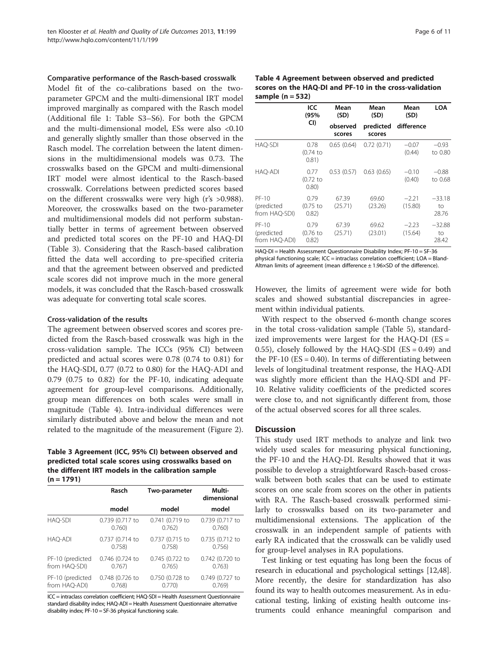Comparative performance of the Rasch-based crosswalk

Model fit of the co-calibrations based on the twoparameter GPCM and the multi-dimensional IRT model improved marginally as compared with the Rasch model (Additional file [1:](#page-9-0) Table S3–S6). For both the GPCM and the multi-dimensional model, ESs were also <0.10 and generally slightly smaller than those observed in the Rasch model. The correlation between the latent dimensions in the multidimensional models was 0.73. The crosswalks based on the GPCM and multi-dimensional IRT model were almost identical to the Rasch-based crosswalk. Correlations between predicted scores based on the different crosswalks were very high (r's >0.988). Moreover, the crosswalks based on the two-parameter and multidimensional models did not perform substantially better in terms of agreement between observed and predicted total scores on the PF-10 and HAQ-DI (Table 3). Considering that the Rasch-based calibration fitted the data well according to pre-specified criteria and that the agreement between observed and predicted scale scores did not improve much in the more general models, it was concluded that the Rasch-based crosswalk was adequate for converting total scale scores.

#### Cross-validation of the results

The agreement between observed scores and scores predicted from the Rasch-based crosswalk was high in the cross-validation sample. The ICCs (95% CI) between predicted and actual scores were 0.78 (0.74 to 0.81) for the HAQ-SDI, 0.77 (0.72 to 0.80) for the HAQ-ADI and 0.79 (0.75 to 0.82) for the PF-10, indicating adequate agreement for group-level comparisons. Additionally, group mean differences on both scales were small in magnitude (Table 4). Intra-individual differences were similarly distributed above and below the mean and not related to the magnitude of the measurement (Figure [2](#page-7-0)).

Table 3 Agreement (ICC, 95% CI) between observed and predicted total scale scores using crosswalks based on the different IRT models in the calibration sample  $(n = 1791)$ 

|                  | Rasch           | Two-parameter   | Multi-<br>dimensional |  |
|------------------|-----------------|-----------------|-----------------------|--|
|                  | model           | model           | model                 |  |
| HAQ-SDI          | 0.739 (0.717 to | 0.741 (0.719 to | 0.739 (0.717 to       |  |
|                  | 0.760           | 0.762)          | 0.760                 |  |
| HAO-ADI          | 0.737 (0.714 to | 0.737 (0.715 to | 0.735 (0.712 to       |  |
|                  | 0.758           | 0.758           | 0.756                 |  |
| PF-10 (predicted | 0.746 (0.724 to | 0.745 (0.722 to | 0.742 (0.720 to       |  |
| from HAQ-SDI)    | 0.767           | 0.765)          | 0.763)                |  |
| PF-10 (predicted | 0.748 (0.726 to | 0.750 (0.728 to | 0.749 (0.727 to       |  |
| from HAO-ADI)    | 0.768           | 0.770           | 0.769                 |  |

ICC = intraclass correlation coefficient; HAQ-SDI = Health Assessment Questionnaire standard disability index; HAQ-ADI = Health Assessment Questionnaire alternative disability index; PF-10 = SF-36 physical functioning scale.

Table 4 Agreement between observed and predicted scores on the HAQ-DI and PF-10 in the cross-validation sample  $(n = 532)$ 

|                                        | ICC<br>(95%                  | Mean<br>(SD)       | Mean<br>(SD)        | Mean<br>(SD)       | LOA                     |
|----------------------------------------|------------------------------|--------------------|---------------------|--------------------|-------------------------|
|                                        | CI)                          | observed<br>scores | predicted<br>scores | difference         |                         |
| <b>HAQ-SDI</b>                         | 0.78<br>(0.74 to<br>0.81)    | 0.65(0.64)         | 0.72(0.71)          | $-0.07$<br>(0.44)  | $-0.93$<br>to 0.80      |
| <b>HAO-ADI</b>                         | 0.77<br>$(0.72)$ to<br>0.80) | 0.53(0.57)         | 0.63(0.65)          | $-0.10$<br>(0.40)  | $-0.88$<br>to 0.68      |
| $PF-10$<br>(predicted<br>from HAQ-SDI) | 0.79<br>$(0.75)$ to<br>0.82) | 67.39<br>(25.71)   | 69.60<br>(23.26)    | $-2.21$<br>(15.80) | $-33.18$<br>to<br>28.76 |
| $PF-10$<br>(predicted<br>from HAO-ADI) | 0.79<br>$(0.76)$ to<br>0.82) | 67.39<br>(25.71)   | 69.62<br>(23.01)    | $-2.23$<br>(15.64) | $-32.88$<br>to<br>28.42 |

HAQ-DI = Health Assessment Questionnaire Disability Index; PF-10 = SF-36 physical functioning scale; ICC = intraclass correlation coefficient; LOA = Bland-Altman limits of agreement (mean difference  $\pm$  1.96 $\times$ SD of the difference).

However, the limits of agreement were wide for both scales and showed substantial discrepancies in agreement within individual patients.

With respect to the observed 6-month change scores in the total cross-validation sample (Table [5\)](#page-8-0), standardized improvements were largest for the HAQ-DI (ES = 0.55), closely followed by the HAQ-SDI  $(ES = 0.49)$  and the PF-10  $(ES = 0.40)$ . In terms of differentiating between levels of longitudinal treatment response, the HAQ-ADI was slightly more efficient than the HAQ-SDI and PF-10. Relative validity coefficients of the predicted scores were close to, and not significantly different from, those of the actual observed scores for all three scales.

#### **Discussion**

This study used IRT methods to analyze and link two widely used scales for measuring physical functioning, the PF-10 and the HAQ-DI. Results showed that it was possible to develop a straightforward Rasch-based crosswalk between both scales that can be used to estimate scores on one scale from scores on the other in patients with RA. The Rasch-based crosswalk performed similarly to crosswalks based on its two-parameter and multidimensional extensions. The application of the crosswalk in an independent sample of patients with early RA indicated that the crosswalk can be validly used for group-level analyses in RA populations.

Test linking or test equating has long been the focus of research in educational and psychological settings [\[12,48](#page-10-0)]. More recently, the desire for standardization has also found its way to health outcomes measurement. As in educational testing, linking of existing health outcome instruments could enhance meaningful comparison and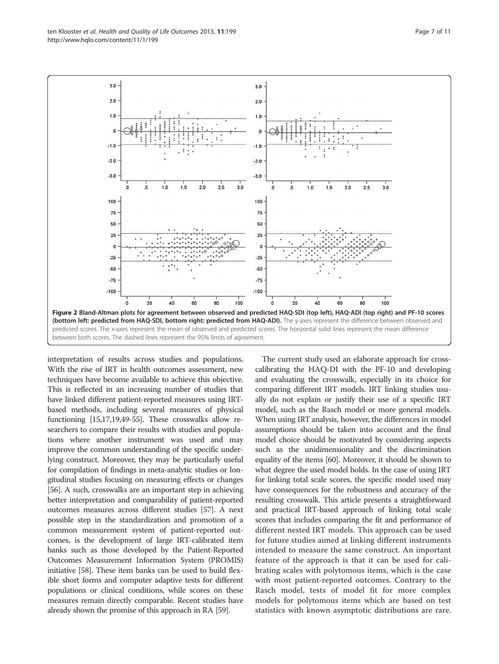interpretation of results across studies and populations. With the rise of IRT in health outcomes assessment, new techniques have become available to achieve this objective. This is reflected in an increasing number of studies that have linked different patient-reported measures using IRTbased methods, including several measures of physical functioning [\[15,17,19,49](#page-10-0)-[55](#page-10-0)]. These crosswalks allow researchers to compare their results with studies and populations where another instrument was used and may improve the common understanding of the specific underlying construct. Moreover, they may be particularly useful for compilation of findings in meta-analytic studies or longitudinal studies focusing on measuring effects or changes [[56](#page-11-0)]. A such, crosswalks are an important step in achieving better interpretation and comparability of patient-reported outcomes measures across different studies [[57](#page-11-0)]. A next possible step in the standardization and promotion of a common measurement system of patient-reported outcomes, is the development of large IRT-calibrated item banks such as those developed by the Patient-Reported Outcomes Measurement Information System (PROMIS) initiative [[58](#page-11-0)]. These item banks can be used to build flexible short forms and computer adaptive tests for different populations or clinical conditions, while scores on these measures remain directly comparable. Recent studies have

already shown the promise of this approach in RA [\[59\]](#page-11-0).

The current study used an elaborate approach for crosscalibrating the HAQ-DI with the PF-10 and developing and evaluating the crosswalk, especially in its choice for comparing different IRT models. IRT linking studies usually do not explain or justify their use of a specific IRT model, such as the Rasch model or more general models. When using IRT analysis, however, the differences in model assumptions should be taken into account and the final model choice should be motivated by considering aspects such as the unidimensionality and the discrimination equality of the items [[60](#page-11-0)]. Moreover, it should be shown to what degree the used model holds. In the case of using IRT for linking total scale scores, the specific model used may have consequences for the robustness and accuracy of the resulting crosswalk. This article presents a straightforward and practical IRT-based approach of linking total scale scores that includes comparing the fit and performance of different nested IRT models. This approach can be used for future studies aimed at linking different instruments intended to measure the same construct. An important feature of the approach is that it can be used for calibrating scales with polytomous items, which is the case with most patient-reported outcomes. Contrary to the Rasch model, tests of model fit for more complex models for polytomous items which are based on test statistics with known asymptotic distributions are rare.

100 100 75 75 50 50 25 25  $\mathbf{0}$ 0  $\alpha$  $-25$  $-25$  $-50$  $-50$  $-75$  $-75$  $-100$  $-100$ 20 40 60 80 100 20 40 60 80 100 between both scores. The dashed lines represent the 95% limits of agreement.

<span id="page-7-0"></span>

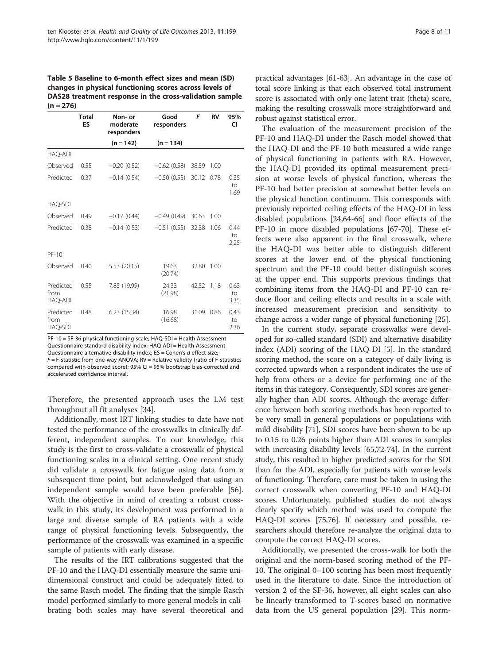<span id="page-8-0"></span>Table 5 Baseline to 6-month effect sizes and mean (SD) changes in physical functioning scores across levels of DAS28 treatment response in the cross-validation sample  $(n = 276)$ 

|                                     | <b>Total</b><br>ES | Non- or<br>moderate<br>responders | Good<br>responders | F     | <b>RV</b> | 95%<br>CI          |
|-------------------------------------|--------------------|-----------------------------------|--------------------|-------|-----------|--------------------|
|                                     |                    | $(n = 142)$                       | $(n = 134)$        |       |           |                    |
| HAO-ADI                             |                    |                                   |                    |       |           |                    |
| Observed                            | 0.55               | $-0.20(0.52)$                     | $-0.62$ (0.58)     | 38.59 | 1.00      |                    |
| Predicted                           | 0.37               | $-0.14(0.54)$                     | $-0.50(0.55)$      | 30.12 | 0.78      | 0.35<br>to<br>1.69 |
| <b>HAQ-SDI</b>                      |                    |                                   |                    |       |           |                    |
| Observed                            | 0.49               | $-0.17(0.44)$                     | $-0.49(0.49)$      | 30.63 | 1.00      |                    |
| Predicted                           | 0.38               | $-0.14(0.53)$                     | $-0.51(0.55)$      | 32.38 | 1.06      | 0.44<br>to<br>2.25 |
| $PF-10$                             |                    |                                   |                    |       |           |                    |
| Observed                            | 0.40               | 5.53 (20.15)                      | 19.63<br>(20.74)   | 32.80 | 1.00      |                    |
| Predicted<br>from<br><b>HAQ-ADI</b> | 0.55               | 7.85 (19.99)                      | 24.33<br>(21.98)   | 42.52 | 1.18      | 0.63<br>to<br>3.35 |
| Predicted<br>from<br>HAQ-SDI        | 0.48               | 6.23(15.34)                       | 16.98<br>(16.68)   | 31.09 | 0.86      | 0.43<br>to<br>2.36 |

PF-10 = SF-36 physical functioning scale; HAQ-SDI = Health Assessment Questionnaire standard disability index; HAQ-ADI = Health Assessment Questionnaire alternative disability index; ES = Cohen's d effect size;  $F = F$ -statistic from one-way ANOVA; RV = Relative validity (ratio of F-statistics compared with observed score); 95% CI = 95% bootstrap bias-corrected and accelerated confidence interval.

Therefore, the presented approach uses the LM test throughout all fit analyses [\[34](#page-10-0)].

Additionally, most IRT linking studies to date have not tested the performance of the crosswalks in clinically different, independent samples. To our knowledge, this study is the first to cross-validate a crosswalk of physical functioning scales in a clinical setting. One recent study did validate a crosswalk for fatigue using data from a subsequent time point, but acknowledged that using an independent sample would have been preferable [\[56](#page-11-0)]. With the objective in mind of creating a robust crosswalk in this study, its development was performed in a large and diverse sample of RA patients with a wide range of physical functioning levels. Subsequently, the performance of the crosswalk was examined in a specific sample of patients with early disease.

The results of the IRT calibrations suggested that the PF-10 and the HAQ-DI essentially measure the same unidimensional construct and could be adequately fitted to the same Rasch model. The finding that the simple Rasch model performed similarly to more general models in calibrating both scales may have several theoretical and

practical advantages [\[61-63\]](#page-11-0). An advantage in the case of total score linking is that each observed total instrument score is associated with only one latent trait (theta) score, making the resulting crosswalk more straightforward and robust against statistical error.

The evaluation of the measurement precision of the PF-10 and HAQ-DI under the Rasch model showed that the HAQ-DI and the PF-10 both measured a wide range of physical functioning in patients with RA. However, the HAQ-DI provided its optimal measurement precision at worse levels of physical function, whereas the PF-10 had better precision at somewhat better levels on the physical function continuum. This corresponds with previously reported ceiling effects of the HAQ-DI in less disabled populations [[24](#page-10-0)[,64](#page-11-0)-[66\]](#page-11-0) and floor effects of the PF-10 in more disabled populations [[67](#page-11-0)-[70\]](#page-11-0). These effects were also apparent in the final crosswalk, where the HAQ-DI was better able to distinguish different scores at the lower end of the physical functioning spectrum and the PF-10 could better distinguish scores at the upper end. This supports previous findings that combining items from the HAQ-DI and PF-10 can reduce floor and ceiling effects and results in a scale with increased measurement precision and sensitivity to change across a wider range of physical functioning [\[25](#page-10-0)].

In the current study, separate crosswalks were developed for so-called standard (SDI) and alternative disability index (ADI) scoring of the HAQ-DI [\[5](#page-9-0)]. In the standard scoring method, the score on a category of daily living is corrected upwards when a respondent indicates the use of help from others or a device for performing one of the items in this category. Consequently, SDI scores are generally higher than ADI scores. Although the average difference between both scoring methods has been reported to be very small in general populations or populations with mild disability [[71](#page-11-0)], SDI scores have been shown to be up to 0.15 to 0.26 points higher than ADI scores in samples with increasing disability levels [\[65,72-74\]](#page-11-0). In the current study, this resulted in higher predicted scores for the SDI than for the ADI, especially for patients with worse levels of functioning. Therefore, care must be taken in using the correct crosswalk when converting PF-10 and HAQ-DI scores. Unfortunately, published studies do not always clearly specify which method was used to compute the HAQ-DI scores [[75,76](#page-11-0)]. If necessary and possible, researchers should therefore re-analyze the original data to compute the correct HAQ-DI scores.

Additionally, we presented the cross-walk for both the original and the norm-based scoring method of the PF-10. The original 0–100 scoring has been most frequently used in the literature to date. Since the introduction of version 2 of the SF-36, however, all eight scales can also be linearly transformed to T-scores based on normative data from the US general population [\[29](#page-10-0)]. This norm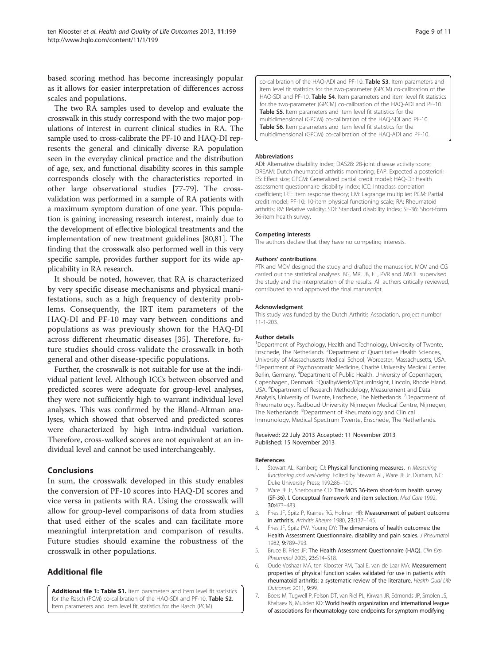<span id="page-9-0"></span>based scoring method has become increasingly popular as it allows for easier interpretation of differences across scales and populations.

The two RA samples used to develop and evaluate the crosswalk in this study correspond with the two major populations of interest in current clinical studies in RA. The sample used to cross-calibrate the PF-10 and HAQ-DI represents the general and clinically diverse RA population seen in the everyday clinical practice and the distribution of age, sex, and functional disability scores in this sample corresponds closely with the characteristics reported in other large observational studies [[77-79\]](#page-11-0). The crossvalidation was performed in a sample of RA patients with a maximum symptom duration of one year. This population is gaining increasing research interest, mainly due to the development of effective biological treatments and the implementation of new treatment guidelines [[80,81\]](#page-11-0). The finding that the crosswalk also performed well in this very specific sample, provides further support for its wide applicability in RA research.

It should be noted, however, that RA is characterized by very specific disease mechanisms and physical manifestations, such as a high frequency of dexterity problems. Consequently, the IRT item parameters of the HAQ-DI and PF-10 may vary between conditions and populations as was previously shown for the HAQ-DI across different rheumatic diseases [[35\]](#page-10-0). Therefore, future studies should cross-validate the crosswalk in both general and other disease-specific populations.

Further, the crosswalk is not suitable for use at the individual patient level. Although ICCs between observed and predicted scores were adequate for group-level analyses, they were not sufficiently high to warrant individual level analyses. This was confirmed by the Bland-Altman analyses, which showed that observed and predicted scores were characterized by high intra-individual variation. Therefore, cross-walked scores are not equivalent at an individual level and cannot be used interchangeably.

#### Conclusions

In sum, the crosswalk developed in this study enables the conversion of PF-10 scores into HAQ-DI scores and vice versa in patients with RA. Using the crosswalk will allow for group-level comparisons of data from studies that used either of the scales and can facilitate more meaningful interpretation and comparison of results. Future studies should examine the robustness of the crosswalk in other populations.

## Additional file

[Additional file 1: Table S1.](http://www.biomedcentral.com/content/supplementary/1477-7525-11-199-S1.docx) Item parameters and item level fit statistics for the Rasch (PCM) co-calibration of the HAQ-SDI and PF-10. Table S2. Item parameters and item level fit statistics for the Rasch (PCM)

co-calibration of the HAQ-ADI and PF-10. Table S3. Item parameters and item level fit statistics for the two-parameter (GPCM) co-calibration of the HAQ-SDI and PF-10. Table S4. Item parameters and item level fit statistics for the two-parameter (GPCM) co-calibration of the HAQ-ADI and PF-10. Table S5. Item parameters and item level fit statistics for the multidimensional (GPCM) co-calibration of the HAQ-SDI and PF-10. Table S6. Item parameters and item level fit statistics for the multidimensional (GPCM) co-calibration of the HAQ-ADI and PF-10.

#### Abbreviations

ADI: Alternative disability index; DAS28: 28-joint disease activity score; DREAM: Dutch rheumatoid arthritis monitoring; EAP: Expected a posteriori; ES: Effect size; GPCM: Generalized partial credit model; HAQ-DI: Health assessment questionnaire disability index; ICC: Intraclass correlation coefficient; IRT: Item response theory; LM: Lagrange multiplier; PCM: Partial credit model; PF-10: 10-item physical functioning scale; RA: Rheumatoid arthritis; RV: Relative validity; SDI: Standard disability index; SF-36: Short-form 36-item health survey.

#### Competing interests

The authors declare that they have no competing interests.

#### Authors' contributions

PTK and MOV designed the study and drafted the manuscript. MOV and CG carried out the statistical analyses. BG, MR, JB, ET, PVR and MVDL supervised the study and the interpretation of the results. All authors critically reviewed, contributed to and approved the final manuscript.

#### Acknowledgment

This study was funded by the Dutch Arthritis Association, project number 11-1-203.

#### Author details

<sup>1</sup>Department of Psychology, Health and Technology, University of Twente, Enschede, The Netherlands. <sup>2</sup> Department of Quantitative Health Sciences University of Massachusetts Medical School, Worcester, Massachusetts, USA. <sup>3</sup>Department of Psychosomatic Medicine, Charité University Medical Center Berlin, Germany. <sup>4</sup>Department of Public Health, University of Copenhagen, Copenhagen, Denmark. <sup>5</sup>QualityMetric/OptumInsight, Lincoln, Rhode Island, USA. <sup>6</sup>Department of Research Methodology, Measurement and Data Analysis, University of Twente, Enschede, The Netherlands. <sup>7</sup>Department of Rheumatology, Radboud University Nijmegen Medical Centre, Nijmegen, The Netherlands. <sup>8</sup>Department of Rheumatology and Clinical Immunology, Medical Spectrum Twente, Enschede, The Netherlands.

#### Received: 22 July 2013 Accepted: 11 November 2013 Published: 15 November 2013

#### References

- Stewart AL, Kamberg CJ: Physical functioning measures. In Measuring functioning and well-being. Edited by Stewart AL, Ware JE Jr. Durham, NC: Duke University Press; 1992:86–101.
- 2. Ware JE Jr, Sherbourne CD: The MOS 36-item short-form health survey (SF-36). I. Conceptual framework and item selection. Med Care 1992, 30:473–483.
- 3. Fries JF, Spitz P, Kraines RG, Holman HR: Measurement of patient outcome in arthritis. Arthritis Rheum 1980, 23:137–145.
- 4. Fries JF, Spitz PW, Young DY: The dimensions of health outcomes: the Health Assessment Questionnaire, disability and pain scales. J Rheumatol 1982, 9:789–793.
- 5. Bruce B, Fries JF: The Health Assessment Questionnaire (HAQ). Clin Exp Rheumatol 2005, 23:S14–S18.
- 6. Oude Voshaar MA, ten Klooster PM, Taal E, van de Laar MA: Measurement properties of physical function scales validated for use in patients with rheumatoid arthritis: a systematic review of the literature. Health Qual Life Outcomes 2011, 9:99.
- 7. Boers M, Tugwell P, Felson DT, van Riel PL, Kirwan JR, Edmonds JP, Smolen JS, Khaltaev N, Muirden KD: World health organization and international league of associations for rheumatology core endpoints for symptom modifying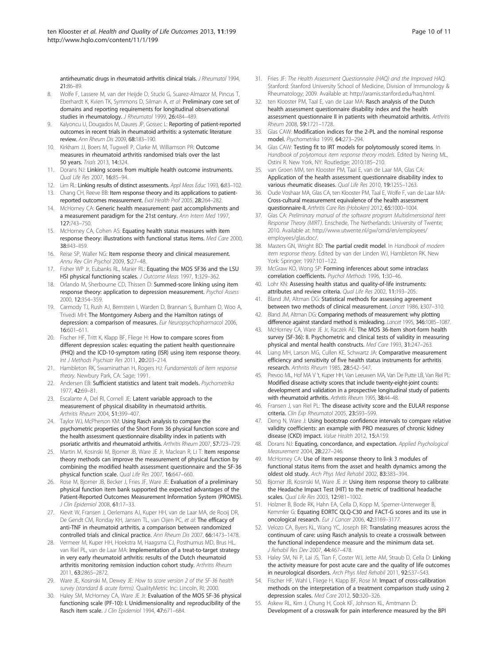<span id="page-10-0"></span>antirheumatic drugs in rheumatoid arthritis clinical trials. J Rheumatol 1994, 21:86–89.

- 8. Wolfe F, Lassere M, van der Heijde D, Stucki G, Suarez-Almazor M, Pincus T, Eberhardt K, Kvien TK, Symmons D, Silman A, et al: Preliminary core set of domains and reporting requirements for longitudinal observational studies in rheumatology. J Rheumatol 1999, 26:484-489.
- 9. Kalyoncu U, Dougados M, Daures JP, Gossec L: Reporting of patient-reported outcomes in recent trials in rheumatoid arthritis: a systematic literature review. Ann Rheum Dis 2009, 68:183–190.
- 10. Kirkham JJ, Boers M, Tugwell P, Clarke M, Williamson PR: Outcome measures in rheumatoid arthritis randomised trials over the last 50 years. Trials 2013, 14:324.
- 11. Dorans NJ: Linking scores from multiple health outcome instruments. Qual Life Res 2007, 16:85–94.
- 12. Lim RL: Linking results of distinct assessments. Appl Meas Educ 1993, 6:83-102.
- 13. Chang CH, Reeve BB: Item response theory and its applications to patientreported outcomes measurement. Eval Health Prof 2005, 28:264–282.
- 14. McHorney CA: Generic health measurement: past accomplishments and a measurement paradigm for the 21st century. Ann Intern Med 1997, 127:743–750.
- 15. McHorney CA, Cohen AS: Equating health status measures with item response theory: illustrations with functional status items. Med Care 2000, 38:II43–II59.
- 16. Reise SP, Waller NG: Item response theory and clinical measurement. Annu Rev Clin Psychol 2009, 5:27–48.
- 17. Fisher WP Jr, Eubanks RL, Marier RL: Equating the MOS SF36 and the LSU HSI physical functioning scales. J Outcome Meas 1997, 1:329–362.
- 18. Orlando M, Sherbourne CD, Thissen D: Summed-score linking using item response theory: application to depression measurement. Psychol Assess 2000, 12:354–359.
- 19. Carmody TJ, Rush AJ, Bernstein I, Warden D, Brannan S, Burnham D, Woo A, Trivedi MH: The Montgomery Asberg and the Hamilton ratings of depression: a comparison of measures. Eur Neuropsychopharmacol 2006, 16:601–611.
- 20. Fischer HF, Tritt K, Klapp BF, Fliege H: How to compare scores from different depression scales: equating the patient health questionnaire (PHQ) and the ICD-10-symptom rating (ISR) using item response theory. Int J Methods Psychiatr Res 2011, 20:203-214.
- 21. Hambleton RK, Swaminathan H, Rogers HJ: Fundamentals of item response theory. Newbury Park, CA: Sage; 1991.
- 22. Andersen EB: Sufficient statistics and latent trait models. Psychometrika 1977, 42:69–81.
- 23. Escalante A, Del RI, Cornell JE: Latent variable approach to the measurement of physical disability in rheumatoid arthritis. Arthritis Rheum 2004, 51:399–407.
- 24. Taylor WJ, McPherson KM: Using Rasch analysis to compare the psychometric properties of the Short Form 36 physical function score and the health assessment questionnaire disability index in patients with psoriatic arthritis and rheumatoid arthritis. Arthritis Rheum 2007, 57:723–729.
- 25. Martin M, Kosinski M, Bjorner JB, Ware JE Jr, Maclean R, Li T: Item response theory methods can improve the measurement of physical function by combining the modified health assessment questionnaire and the SF-36 physical function scale. Qual Life Res 2007, 16:647–660.
- 26. Rose M, Bjorner JB, Becker J, Fries JF, Ware JE: Evaluation of a preliminary physical function item bank supported the expected advantages of the Patient-Reported Outcomes Measurement Information System (PROMIS). J Clin Epidemiol 2008, 61:17–33.
- 27. Kievit W, Fransen J, Oerlemans AJ, Kuper HH, van de Laar MA, de Rooij DR, De Gendt CM, Ronday KH, Jansen TL, van Oijen PC, et al: The efficacy of anti-TNF in rheumatoid arthritis, a comparison between randomized controlled trials and clinical practice. Ann Rheum Dis 2007, 66:1473–1478.
- 28. Vermeer M, Kuper HH, Hoekstra M, Haagsma CJ, Posthumus MD, Brus HL, van Riel PL, van de Laar MA: Implementation of a treat-to-target strategy in very early rheumatoid arthritis: results of the Dutch rheumatoid arthritis monitoring remission induction cohort study. Arthritis Rheum 2011, 63:2865–2872.
- 29. Ware JE, Kosinski M, Dewey JE: How to score version 2 of the SF-36 health survey (standard & acute forms). QualityMetric Inc: Lincoln, RI; 2000
- 30. Haley SM, McHorney CA, Ware JE Jr: Evaluation of the MOS SF-36 physical functioning scale (PF-10): I. Unidimensionality and reproducibility of the Rasch item scale. J Clin Epidemiol 1994, 47:671-684.
- 31. Fries JF: The Health Assessment Questionnaire (HAQ) and the Improved HAQ. Stanford: Stanford University School of Medicine, Division of Immunology & Rheumatology; 2009. Available at: [http://aramis.stanford.edu/haq.html.](http://aramis.stanford.edu/haq.html)
- 32. ten Klooster PM, Taal E, van de Laar MA: Rasch analysis of the Dutch health assessment questionnaire disability index and the health assessment questionnaire II in patients with rheumatoid arthritis. Arthritis Rheum 2008, 59:1721–1728.
- 33. Glas CAW: Modification indices for the 2-PL and the nominal response model. Psychometrika 1999, 64:273–294.
- 34. Glas CAW: Testing fit to IRT models for polytomously scored items. In Handbook of polytomous item response theory models. Edited by Nering ML, Ostini R. New York, NY: Routledge; 2010:185–210.
- 35. van Groen MM, ten Klooster PM, Taal E, van de Laar MA, Glas CA: Application of the health assessment questionnaire disability index to various rheumatic diseases. Qual Life Res 2010, 19:1255-1263
- 36. Oude Voshaar MA, Glas CA, ten Klooster PM, Taal E, Wolfe F, van de Laar MA: Cross-cultural measurement equivalence of the health assessment questionnaire-II. Arthritis Care Res (Hoboken) 2012, 65:1000–1004.
- 37. Glas CA: Preliminary manual of the software program Multidimensional Item Response Theory (MIRT). Enschede, The Netherlands: University of Twente; 2010. Available at: [http://www.utwente.nl/gw/omd/en/employees/](http://www.utwente.nl/gw/omd/en/employees/employees/glas.doc/) [employees/glas.doc/.](http://www.utwente.nl/gw/omd/en/employees/employees/glas.doc/)
- 38. Masters GN, Wright BD: The partial credit model. In Handbook of modern item response theory. Edited by van der Linden WJ, Hambleton RK. New York: Springer; 1997:101–122.
- 39. McGraw KO, Wong SP: Forming inferences about some intraclass correlation coefficients. Psychol Methods 1996, 1:30–46.
- 40. Lohr KN: Assessing health status and quality-of-life instruments: attributes and review criteria. Qual Life Res 2002, 11:193–205.
- 41. Bland JM, Altman DG: Statistical methods for assessing agreement between two methods of clinical measurement. Lancet 1986, i:307–310.
- 42. Bland JM, Altman DG: Comparing methods of measurement: why plotting difference against standard method is misleading. Lancet 1995, 346:1085-1087.
- 43. McHorney CA, Ware JE Jr, Raczek AE: The MOS 36-Item short-form health survey (SF-36): II. Psychometric and clinical tests of validity in measuring physical and mental health constructs. Med Care 1993, 31:247–263.
- 44. Liang MH, Larson MG, Cullen KE, Schwartz JA: Comparative measurement efficiency and sensitivity of five health status instruments for arthritis research. Arthritis Rheum 1985, 28:542–547.
- Prevoo ML, Hof MA V 't, Kuper HH, Van Leeuwen MA, Van De Putte LB, Van Riel PL: Modified disease activity scores that include twenty-eight-joint counts: development and validation in a prospective longitudinal study of patients with rheumatoid arthritis. Arthritis Rheum 1995, 38:44-48.
- 46. Fransen J, van Riel PL: The disease activity score and the EULAR response criteria. Clin Exp Rheumatol 2005, 23:S93–S99.
- 47. Deng N, Ware J: Using bootstrap confidence intervals to compare relative validity coefficients: an example with PRO measures of chronic kidney disease (CKD) impact. Value Health 2012, 15:A159.
- 48. Dorans NJ: Equating, concordance, and expectation. Applied Psychological Measurement 2004, 28:227–246.
- 49. McHorney CA: Use of item response theory to link 3 modules of functional status items from the asset and health dynamics among the oldest old study. Arch Phys Med Rehabil 2002, 83:383–394.
- 50. Bjorner JB, Kosinski M, Ware JE Jr: Using item response theory to calibrate the Headache Impact Test (HIT) to the metric of traditional headache scales. Qual Life Res 2003, 12:981–1002.
- 51. Holzner B, Bode RK, Hahn EA, Cella D, Kopp M, Sperner-Unterweger B, Kemmler G: Equating EORTC QLQ-C30 and FACT-G scores and its use in oncological research. Eur J Cancer 2006, 42:3169–3177.
- 52. Velozo CA, Byers KL, Wang YC, Joseph BR: Translating measures across the continuum of care: using Rasch analysis to create a crosswalk between the functional independence measure and the minimum data set. J Rehabil Res Dev 2007, 44:467–478.
- 53. Haley SM, Ni P, Lai JS, Tian F, Coster WJ, Jette AM, Straub D, Cella D: Linking the activity measure for post acute care and the quality of life outcomes in neurological disorders. Arch Phys Med Rehabil 2011, 92:S37–S43.
- 54. Fischer HF, Wahl I, Fliege H, Klapp BF, Rose M: Impact of cross-calibration methods on the interpretation of a treatment comparison study using 2 depression scales. Med Care 2012, 50:320–326.
- 55. Askew RL, Kim J, Chung H, Cook KF, Johnson KL, Amtmann D: Development of a crosswalk for pain interference measured by the BPI